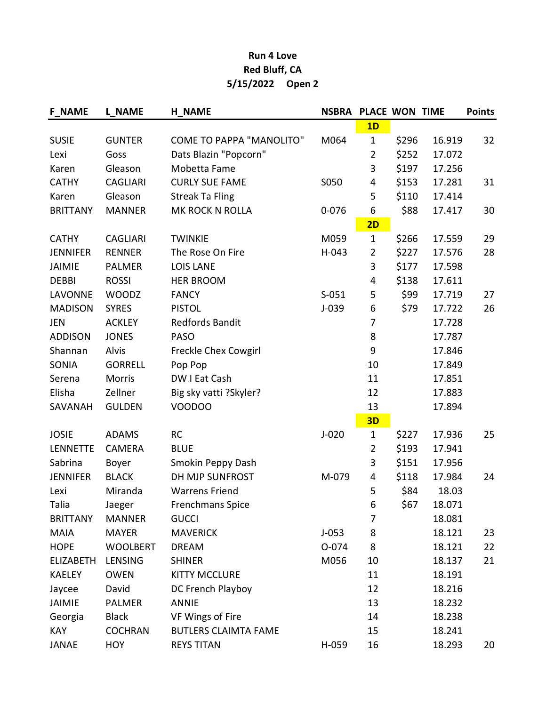## Run 4 Love Red Bluff, CA 5/15/2022 Open 2

| <b>F NAME</b>    | <b>L NAME</b>   | <b>H NAME</b>                   | <b>NSBRA</b> | PLACE WON TIME |       |        | <b>Points</b> |
|------------------|-----------------|---------------------------------|--------------|----------------|-------|--------|---------------|
|                  |                 |                                 |              | 1D             |       |        |               |
| <b>SUSIE</b>     | <b>GUNTER</b>   | <b>COME TO PAPPA "MANOLITO"</b> | M064         | $\mathbf{1}$   | \$296 | 16.919 | 32            |
| Lexi             | Goss            | Dats Blazin "Popcorn"           |              | $\overline{2}$ | \$252 | 17.072 |               |
| Karen            | Gleason         | Mobetta Fame                    |              | 3              | \$197 | 17.256 |               |
| <b>CATHY</b>     | <b>CAGLIARI</b> | <b>CURLY SUE FAME</b>           | S050         | 4              | \$153 | 17.281 | 31            |
| Karen            | Gleason         | <b>Streak Ta Fling</b>          |              | 5              | \$110 | 17.414 |               |
| <b>BRITTANY</b>  | <b>MANNER</b>   | MK ROCK N ROLLA                 | $0 - 076$    | 6              | \$88  | 17.417 | 30            |
|                  |                 |                                 |              | 2D             |       |        |               |
| <b>CATHY</b>     | <b>CAGLIARI</b> | <b>TWINKIE</b>                  | M059         | $\mathbf{1}$   | \$266 | 17.559 | 29            |
| <b>JENNIFER</b>  | <b>RENNER</b>   | The Rose On Fire                | $H-043$      | $\overline{2}$ | \$227 | 17.576 | 28            |
| <b>JAIMIE</b>    | <b>PALMER</b>   | <b>LOIS LANE</b>                |              | 3              | \$177 | 17.598 |               |
| <b>DEBBI</b>     | <b>ROSSI</b>    | <b>HER BROOM</b>                |              | 4              | \$138 | 17.611 |               |
| <b>LAVONNE</b>   | <b>WOODZ</b>    | <b>FANCY</b>                    | $S-051$      | 5              | \$99  | 17.719 | 27            |
| <b>MADISON</b>   | <b>SYRES</b>    | <b>PISTOL</b>                   | $J-039$      | 6              | \$79  | 17.722 | 26            |
| JEN              | <b>ACKLEY</b>   | <b>Redfords Bandit</b>          |              | 7              |       | 17.728 |               |
| <b>ADDISON</b>   | <b>JONES</b>    | <b>PASO</b>                     |              | 8              |       | 17.787 |               |
| Shannan          | Alvis           | <b>Freckle Chex Cowgirl</b>     |              | 9              |       | 17.846 |               |
| <b>SONIA</b>     | <b>GORRELL</b>  | Pop Pop                         |              | 10             |       | 17.849 |               |
| Serena           | Morris          | DW I Eat Cash                   |              | 11             |       | 17.851 |               |
| Elisha           | Zellner         | Big sky vatti ?Skyler?          |              | 12             |       | 17.883 |               |
| SAVANAH          | <b>GULDEN</b>   | VOODOO                          |              | 13             |       | 17.894 |               |
|                  |                 |                                 |              | 3D             |       |        |               |
| <b>JOSIE</b>     | <b>ADAMS</b>    | <b>RC</b>                       | $J-020$      | $\mathbf{1}$   | \$227 | 17.936 | 25            |
| LENNETTE         | <b>CAMERA</b>   | <b>BLUE</b>                     |              | $\overline{2}$ | \$193 | 17.941 |               |
| Sabrina          | Boyer           | Smokin Peppy Dash               |              | 3              | \$151 | 17.956 |               |
| <b>JENNIFER</b>  | <b>BLACK</b>    | DH MJP SUNFROST                 | M-079        | 4              | \$118 | 17.984 | 24            |
| Lexi             | Miranda         | <b>Warrens Friend</b>           |              | 5              | \$84  | 18.03  |               |
| Talia            | Jaeger          | Frenchmans Spice                |              | 6              | \$67  | 18.071 |               |
| <b>BRITTANY</b>  | <b>MANNER</b>   | <b>GUCCI</b>                    |              | 7              |       | 18.081 |               |
| <b>MAIA</b>      | <b>MAYER</b>    | <b>MAVERICK</b>                 | $J-053$      | 8              |       | 18.121 | 23            |
| <b>HOPE</b>      | <b>WOOLBERT</b> | <b>DREAM</b>                    | 0-074        | 8              |       | 18.121 | 22            |
| <b>ELIZABETH</b> | LENSING         | <b>SHINER</b>                   | M056         | 10             |       | 18.137 | 21            |
| <b>KAELEY</b>    | <b>OWEN</b>     | <b>KITTY MCCLURE</b>            |              | 11             |       | 18.191 |               |
| Jaycee           | David           | DC French Playboy               |              | 12             |       | 18.216 |               |
| <b>JAIMIE</b>    | <b>PALMER</b>   | <b>ANNIE</b>                    |              | 13             |       | 18.232 |               |
| Georgia          | <b>Black</b>    | VF Wings of Fire                |              | 14             |       | 18.238 |               |
| <b>KAY</b>       | <b>COCHRAN</b>  | <b>BUTLERS CLAIMTA FAME</b>     |              | 15             |       | 18.241 |               |
| <b>JANAE</b>     | <b>HOY</b>      | <b>REYS TITAN</b>               | H-059        | 16             |       | 18.293 | 20            |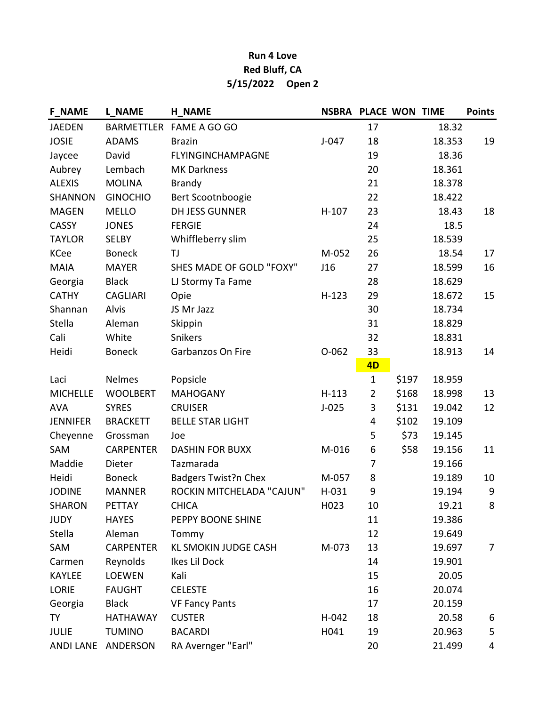## Run 4 Love Red Bluff, CA 5/15/2022 Open 2

| <b>F NAME</b>   | <b>L NAME</b>      | <b>H NAME</b>               | <b>NSBRA PLACE WON TIME</b> |                |       |        | <b>Points</b>  |
|-----------------|--------------------|-----------------------------|-----------------------------|----------------|-------|--------|----------------|
| <b>JAEDEN</b>   |                    | BARMETTLER FAME A GO GO     |                             | 17             |       | 18.32  |                |
| <b>JOSIE</b>    | <b>ADAMS</b>       | <b>Brazin</b>               | $J-047$                     | 18             |       | 18.353 | 19             |
| Jaycee          | David              | FLYINGINCHAMPAGNE           |                             | 19             |       | 18.36  |                |
| Aubrey          | Lembach            | <b>MK Darkness</b>          |                             | 20             |       | 18.361 |                |
| <b>ALEXIS</b>   | <b>MOLINA</b>      | <b>Brandy</b>               |                             | 21             |       | 18.378 |                |
| <b>SHANNON</b>  | <b>GINOCHIO</b>    | Bert Scootnboogie           |                             | 22             |       | 18.422 |                |
| <b>MAGEN</b>    | <b>MELLO</b>       | <b>DH JESS GUNNER</b>       | $H-107$                     | 23             |       | 18.43  | 18             |
| <b>CASSY</b>    | <b>JONES</b>       | <b>FERGIE</b>               |                             | 24             |       | 18.5   |                |
| <b>TAYLOR</b>   | <b>SELBY</b>       | Whiffleberry slim           |                             | 25             |       | 18.539 |                |
| <b>KCee</b>     | <b>Boneck</b>      | TJ                          | M-052                       | 26             |       | 18.54  | 17             |
| <b>MAIA</b>     | <b>MAYER</b>       | SHES MADE OF GOLD "FOXY"    | J16                         | 27             |       | 18.599 | 16             |
| Georgia         | <b>Black</b>       | LJ Stormy Ta Fame           |                             | 28             |       | 18.629 |                |
| <b>CATHY</b>    | <b>CAGLIARI</b>    | Opie                        | $H-123$                     | 29             |       | 18.672 | 15             |
| Shannan         | Alvis              | JS Mr Jazz                  |                             | 30             |       | 18.734 |                |
| Stella          | Aleman             | Skippin                     |                             | 31             |       | 18.829 |                |
| Cali            | White              | Snikers                     |                             | 32             |       | 18.831 |                |
| Heidi           | <b>Boneck</b>      | Garbanzos On Fire           | $O-062$                     | 33             |       | 18.913 | 14             |
|                 |                    |                             |                             | 4 <sub>D</sub> |       |        |                |
| Laci            | <b>Nelmes</b>      | Popsicle                    |                             | $\mathbf{1}$   | \$197 | 18.959 |                |
| <b>MICHELLE</b> | <b>WOOLBERT</b>    | <b>MAHOGANY</b>             | $H-113$                     | $\overline{2}$ | \$168 | 18.998 | 13             |
| <b>AVA</b>      | <b>SYRES</b>       | <b>CRUISER</b>              | $J-025$                     | 3              | \$131 | 19.042 | 12             |
| <b>JENNIFER</b> | <b>BRACKETT</b>    | <b>BELLE STAR LIGHT</b>     |                             | 4              | \$102 | 19.109 |                |
| Cheyenne        | Grossman           | Joe                         |                             | 5              | \$73  | 19.145 |                |
| SAM             | <b>CARPENTER</b>   | <b>DASHIN FOR BUXX</b>      | M-016                       | 6              | \$58  | 19.156 | 11             |
| Maddie          | Dieter             | Tazmarada                   |                             | $\overline{7}$ |       | 19.166 |                |
| Heidi           | <b>Boneck</b>      | <b>Badgers Twist?n Chex</b> | M-057                       | 8              |       | 19.189 | 10             |
| <b>JODINE</b>   | <b>MANNER</b>      | ROCKIN MITCHELADA "CAJUN"   | $H-031$                     | 9              |       | 19.194 | 9              |
| <b>SHARON</b>   | PETTAY             | <b>CHICA</b>                | H023                        | 10             |       | 19.21  | 8              |
| <b>JUDY</b>     | <b>HAYES</b>       | PEPPY BOONE SHINE           |                             | 11             |       | 19.386 |                |
| Stella          | Aleman             | Tommy                       |                             | 12             |       | 19.649 |                |
| SAM             | <b>CARPENTER</b>   | KL SMOKIN JUDGE CASH        | M-073                       | 13             |       | 19.697 | $\overline{7}$ |
| Carmen          | Reynolds           | Ikes Lil Dock               |                             | 14             |       | 19.901 |                |
| <b>KAYLEE</b>   | <b>LOEWEN</b>      | Kali                        |                             | 15             |       | 20.05  |                |
| <b>LORIE</b>    | <b>FAUGHT</b>      | <b>CELESTE</b>              |                             | 16             |       | 20.074 |                |
| Georgia         | <b>Black</b>       | <b>VF Fancy Pants</b>       |                             | 17             |       | 20.159 |                |
| <b>TY</b>       | <b>HATHAWAY</b>    | <b>CUSTER</b>               | $H-042$                     | 18             |       | 20.58  | 6              |
| <b>JULIE</b>    | <b>TUMINO</b>      | <b>BACARDI</b>              | H041                        | 19             |       | 20.963 | 5              |
|                 | ANDI LANE ANDERSON | RA Avernger "Earl"          |                             | 20             |       | 21.499 | 4              |